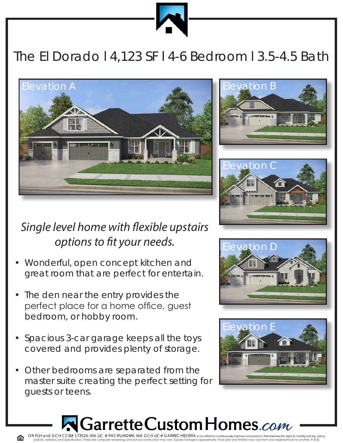

## The El Dorado l 4,123 SF l 4-6 Bedroom l 3.5-4.5 Bath







## *Single level home with flexible upstairs options to fit your needs.*

- Wonderful, open concept kitchen and great room that are perfect for entertain.
- The den near the entry provides the perfect place for a home office, guest bedroom, or hobby room.
- Spacious 3-car garage keeps all the toys covered and provides plenty of storage.
- Other bedrooms are separated from the master suite creating the perfect setting for guests or teens.





## etteCustomHomes*.com*

OR PLH and GCH CCB# 173524; WA LIC # PACIFLH924RI; WA GCH LIC# GARRECH915MA In an effort to continuously improve our product; PLH reserves the right to modify pricing, plans, policies, exteriors, and specification. These are computer renderings and actual construction may vary. Square footage is approximate. Floor plan and finishes may vary from one neighborhood to another. R 4/22